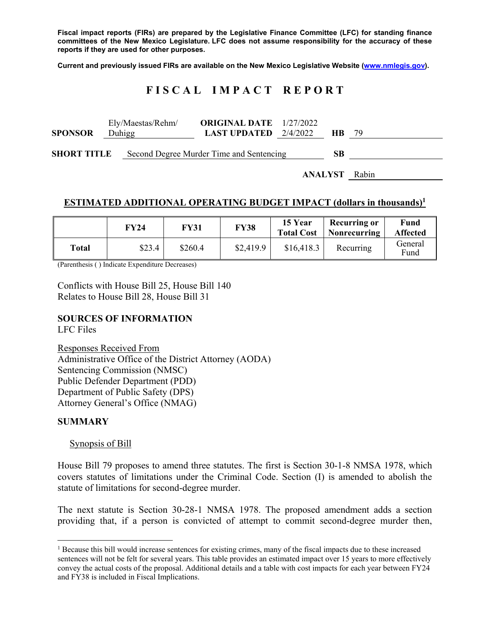**Fiscal impact reports (FIRs) are prepared by the Legislative Finance Committee (LFC) for standing finance committees of the New Mexico Legislature. LFC does not assume responsibility for the accuracy of these reports if they are used for other purposes.** 

**Current and previously issued FIRs are available on the New Mexico Legislative Website (www.nmlegis.gov).** 

# **F I S C A L I M P A C T R E P O R T**

| <b>SPONSOR</b>     | Duhigg | Ely/Maestas/Rehm/                        | <b>ORIGINAL DATE</b> 1/27/2022<br><b>LAST UPDATED</b> $2/4/2022$ |    | HB. |  |
|--------------------|--------|------------------------------------------|------------------------------------------------------------------|----|-----|--|
| <b>SHORT TITLE</b> |        | Second Degree Murder Time and Sentencing |                                                                  | SВ |     |  |

**ANALYST** Rabin

#### **ESTIMATED ADDITIONAL OPERATING BUDGET IMPACT (dollars in thousands)1**

|       | FY24   | <b>FY31</b> | <b>FY38</b> | 15 Year<br><b>Total Cost</b> | <b>Recurring or</b><br>Nonrecurring | Fund<br><b>Affected</b> |
|-------|--------|-------------|-------------|------------------------------|-------------------------------------|-------------------------|
| Total | \$23.4 | \$260.4     | \$2,419.9   | \$16,418.3                   | Recurring                           | General<br>Fund         |

(Parenthesis ( ) Indicate Expenditure Decreases)

Conflicts with House Bill 25, House Bill 140 Relates to House Bill 28, House Bill 31

#### **SOURCES OF INFORMATION**

LFC Files

Responses Received From Administrative Office of the District Attorney (AODA) Sentencing Commission (NMSC) Public Defender Department (PDD) Department of Public Safety (DPS) Attorney General's Office (NMAG)

#### **SUMMARY**

 $\overline{a}$ 

Synopsis of Bill

House Bill 79 proposes to amend three statutes. The first is Section 30-1-8 NMSA 1978, which covers statutes of limitations under the Criminal Code. Section (I) is amended to abolish the statute of limitations for second-degree murder.

The next statute is Section 30-28-1 NMSA 1978. The proposed amendment adds a section providing that, if a person is convicted of attempt to commit second-degree murder then,

<sup>&</sup>lt;sup>1</sup> Because this bill would increase sentences for existing crimes, many of the fiscal impacts due to these increased sentences will not be felt for several years. This table provides an estimated impact over 15 years to more effectively convey the actual costs of the proposal. Additional details and a table with cost impacts for each year between FY24 and FY38 is included in Fiscal Implications.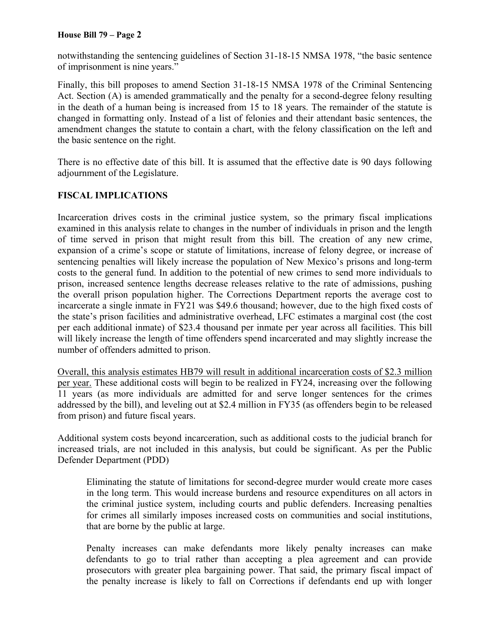notwithstanding the sentencing guidelines of Section 31-18-15 NMSA 1978, "the basic sentence of imprisonment is nine years."

Finally, this bill proposes to amend Section 31-18-15 NMSA 1978 of the Criminal Sentencing Act. Section (A) is amended grammatically and the penalty for a second-degree felony resulting in the death of a human being is increased from 15 to 18 years. The remainder of the statute is changed in formatting only. Instead of a list of felonies and their attendant basic sentences, the amendment changes the statute to contain a chart, with the felony classification on the left and the basic sentence on the right.

There is no effective date of this bill. It is assumed that the effective date is 90 days following adjournment of the Legislature.

# **FISCAL IMPLICATIONS**

Incarceration drives costs in the criminal justice system, so the primary fiscal implications examined in this analysis relate to changes in the number of individuals in prison and the length of time served in prison that might result from this bill. The creation of any new crime, expansion of a crime's scope or statute of limitations, increase of felony degree, or increase of sentencing penalties will likely increase the population of New Mexico's prisons and long-term costs to the general fund. In addition to the potential of new crimes to send more individuals to prison, increased sentence lengths decrease releases relative to the rate of admissions, pushing the overall prison population higher. The Corrections Department reports the average cost to incarcerate a single inmate in FY21 was \$49.6 thousand; however, due to the high fixed costs of the state's prison facilities and administrative overhead, LFC estimates a marginal cost (the cost per each additional inmate) of \$23.4 thousand per inmate per year across all facilities. This bill will likely increase the length of time offenders spend incarcerated and may slightly increase the number of offenders admitted to prison.

Overall, this analysis estimates HB79 will result in additional incarceration costs of \$2.3 million per year. These additional costs will begin to be realized in FY24, increasing over the following 11 years (as more individuals are admitted for and serve longer sentences for the crimes addressed by the bill), and leveling out at \$2.4 million in FY35 (as offenders begin to be released from prison) and future fiscal years.

Additional system costs beyond incarceration, such as additional costs to the judicial branch for increased trials, are not included in this analysis, but could be significant. As per the Public Defender Department (PDD)

Eliminating the statute of limitations for second-degree murder would create more cases in the long term. This would increase burdens and resource expenditures on all actors in the criminal justice system, including courts and public defenders. Increasing penalties for crimes all similarly imposes increased costs on communities and social institutions, that are borne by the public at large.

Penalty increases can make defendants more likely penalty increases can make defendants to go to trial rather than accepting a plea agreement and can provide prosecutors with greater plea bargaining power. That said, the primary fiscal impact of the penalty increase is likely to fall on Corrections if defendants end up with longer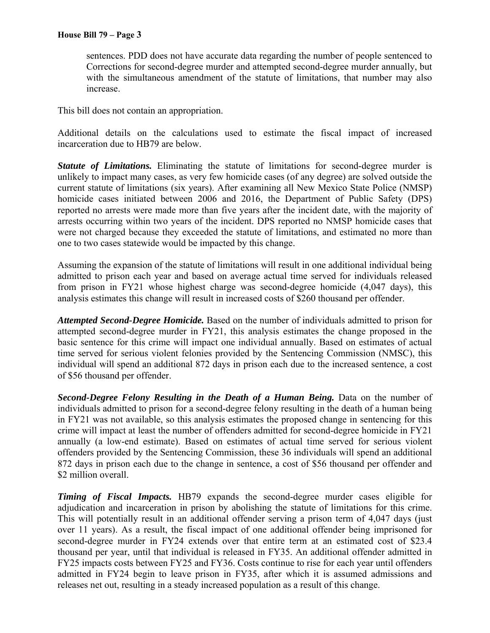sentences. PDD does not have accurate data regarding the number of people sentenced to Corrections for second-degree murder and attempted second-degree murder annually, but with the simultaneous amendment of the statute of limitations, that number may also increase.

This bill does not contain an appropriation.

Additional details on the calculations used to estimate the fiscal impact of increased incarceration due to HB79 are below.

*Statute of Limitations.* Eliminating the statute of limitations for second-degree murder is unlikely to impact many cases, as very few homicide cases (of any degree) are solved outside the current statute of limitations (six years). After examining all New Mexico State Police (NMSP) homicide cases initiated between 2006 and 2016, the Department of Public Safety (DPS) reported no arrests were made more than five years after the incident date, with the majority of arrests occurring within two years of the incident. DPS reported no NMSP homicide cases that were not charged because they exceeded the statute of limitations, and estimated no more than one to two cases statewide would be impacted by this change.

Assuming the expansion of the statute of limitations will result in one additional individual being admitted to prison each year and based on average actual time served for individuals released from prison in FY21 whose highest charge was second-degree homicide (4,047 days), this analysis estimates this change will result in increased costs of \$260 thousand per offender.

*Attempted Second-Degree Homicide.* Based on the number of individuals admitted to prison for attempted second-degree murder in FY21, this analysis estimates the change proposed in the basic sentence for this crime will impact one individual annually. Based on estimates of actual time served for serious violent felonies provided by the Sentencing Commission (NMSC), this individual will spend an additional 872 days in prison each due to the increased sentence, a cost of \$56 thousand per offender.

**Second-Degree Felony Resulting in the Death of a Human Being.** Data on the number of individuals admitted to prison for a second-degree felony resulting in the death of a human being in FY21 was not available, so this analysis estimates the proposed change in sentencing for this crime will impact at least the number of offenders admitted for second-degree homicide in FY21 annually (a low-end estimate). Based on estimates of actual time served for serious violent offenders provided by the Sentencing Commission, these 36 individuals will spend an additional 872 days in prison each due to the change in sentence, a cost of \$56 thousand per offender and \$2 million overall.

*Timing of Fiscal Impacts.* HB79 expands the second-degree murder cases eligible for adjudication and incarceration in prison by abolishing the statute of limitations for this crime. This will potentially result in an additional offender serving a prison term of 4,047 days (just over 11 years). As a result, the fiscal impact of one additional offender being imprisoned for second-degree murder in FY24 extends over that entire term at an estimated cost of \$23.4 thousand per year, until that individual is released in FY35. An additional offender admitted in FY25 impacts costs between FY25 and FY36. Costs continue to rise for each year until offenders admitted in FY24 begin to leave prison in FY35, after which it is assumed admissions and releases net out, resulting in a steady increased population as a result of this change.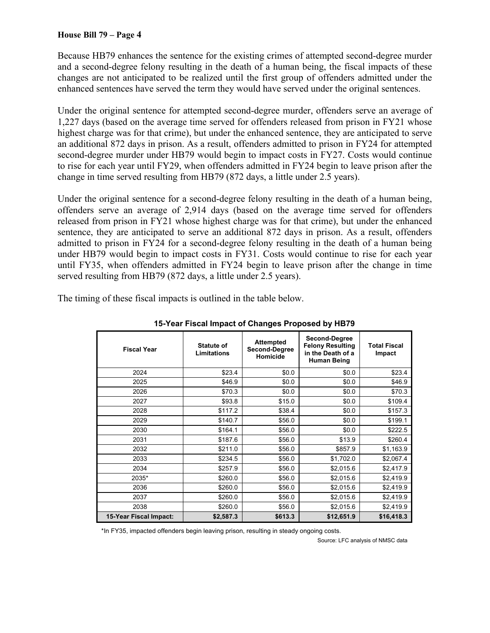Because HB79 enhances the sentence for the existing crimes of attempted second-degree murder and a second-degree felony resulting in the death of a human being, the fiscal impacts of these changes are not anticipated to be realized until the first group of offenders admitted under the enhanced sentences have served the term they would have served under the original sentences.

Under the original sentence for attempted second-degree murder, offenders serve an average of 1,227 days (based on the average time served for offenders released from prison in FY21 whose highest charge was for that crime), but under the enhanced sentence, they are anticipated to serve an additional 872 days in prison. As a result, offenders admitted to prison in FY24 for attempted second-degree murder under HB79 would begin to impact costs in FY27. Costs would continue to rise for each year until FY29, when offenders admitted in FY24 begin to leave prison after the change in time served resulting from HB79 (872 days, a little under 2.5 years).

Under the original sentence for a second-degree felony resulting in the death of a human being, offenders serve an average of 2,914 days (based on the average time served for offenders released from prison in FY21 whose highest charge was for that crime), but under the enhanced sentence, they are anticipated to serve an additional 872 days in prison. As a result, offenders admitted to prison in FY24 for a second-degree felony resulting in the death of a human being under HB79 would begin to impact costs in FY31. Costs would continue to rise for each year until FY35, when offenders admitted in FY24 begin to leave prison after the change in time served resulting from HB79 (872 days, a little under 2.5 years).

The timing of these fiscal impacts is outlined in the table below.

| <b>Fiscal Year</b>     | <b>Statute of</b><br><b>Limitations</b> | <b>Attempted</b><br>Second-Degree<br>Homicide | Second-Degree<br><b>Felony Resulting</b><br>in the Death of a<br>Human Being | <b>Total Fiscal</b><br>Impact |
|------------------------|-----------------------------------------|-----------------------------------------------|------------------------------------------------------------------------------|-------------------------------|
| 2024                   | \$23.4                                  | \$0.0                                         | \$0.0                                                                        | \$23.4                        |
| 2025                   | \$46.9                                  | \$0.0                                         | \$0.0                                                                        | \$46.9                        |
| 2026                   | \$70.3                                  | \$0.0                                         | \$0.0                                                                        | \$70.3                        |
| 2027                   | \$93.8                                  | \$15.0                                        | \$0.0                                                                        | \$109.4                       |
| 2028                   | \$117.2                                 | \$38.4                                        | \$0.0                                                                        | \$157.3                       |
| 2029                   | \$140.7                                 | \$56.0                                        | \$0.0                                                                        | \$199.1                       |
| 2030                   | \$164.1                                 | \$56.0                                        | \$0.0                                                                        | \$222.5                       |
| 2031                   | \$187.6                                 | \$56.0                                        | \$13.9                                                                       | \$260.4                       |
| 2032                   | \$211.0                                 | \$56.0                                        | \$857.9                                                                      | \$1,163.9                     |
| 2033                   | \$234.5                                 | \$56.0                                        | \$1,702.0                                                                    | \$2,067.4                     |
| 2034                   | \$257.9                                 | \$56.0                                        | \$2,015.6                                                                    | \$2,417.9                     |
| 2035*                  | \$260.0                                 | \$56.0                                        | \$2,015.6                                                                    | \$2,419.9                     |
| 2036                   | \$260.0                                 | \$56.0                                        | \$2,015.6                                                                    | \$2,419.9                     |
| 2037                   | \$260.0                                 | \$56.0                                        | \$2,015.6                                                                    | \$2,419.9                     |
| 2038                   | \$260.0                                 | \$56.0                                        | \$2,015.6                                                                    | \$2,419.9                     |
| 15-Year Fiscal Impact: | \$2,587.3                               | \$613.3                                       | \$12,651.9                                                                   | \$16,418.3                    |

**15-Year Fiscal Impact of Changes Proposed by HB79** 

\*In FY35, impacted offenders begin leaving prison, resulting in steady ongoing costs.

Source: LFC analysis of NMSC data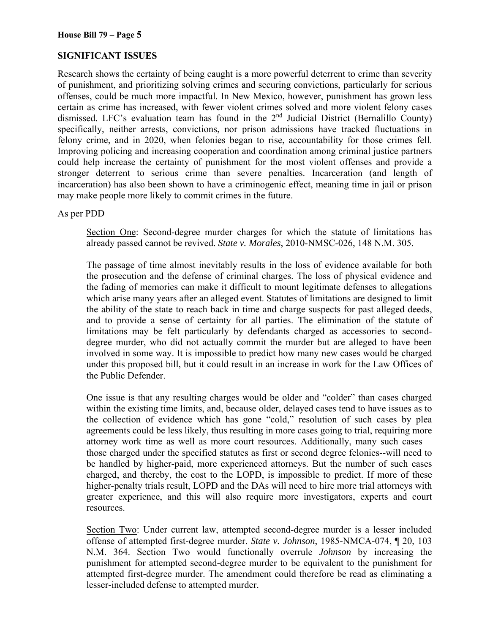## **SIGNIFICANT ISSUES**

Research shows the certainty of being caught is a more powerful deterrent to crime than severity of punishment, and prioritizing solving crimes and securing convictions, particularly for serious offenses, could be much more impactful. In New Mexico, however, punishment has grown less certain as crime has increased, with fewer violent crimes solved and more violent felony cases dismissed. LFC's evaluation team has found in the 2<sup>nd</sup> Judicial District (Bernalillo County) specifically, neither arrests, convictions, nor prison admissions have tracked fluctuations in felony crime, and in 2020, when felonies began to rise, accountability for those crimes fell. Improving policing and increasing cooperation and coordination among criminal justice partners could help increase the certainty of punishment for the most violent offenses and provide a stronger deterrent to serious crime than severe penalties. Incarceration (and length of incarceration) has also been shown to have a criminogenic effect, meaning time in jail or prison may make people more likely to commit crimes in the future.

As per PDD

Section One: Second-degree murder charges for which the statute of limitations has already passed cannot be revived. *State v. Morales*, 2010-NMSC-026, 148 N.M. 305.

The passage of time almost inevitably results in the loss of evidence available for both the prosecution and the defense of criminal charges. The loss of physical evidence and the fading of memories can make it difficult to mount legitimate defenses to allegations which arise many years after an alleged event. Statutes of limitations are designed to limit the ability of the state to reach back in time and charge suspects for past alleged deeds, and to provide a sense of certainty for all parties. The elimination of the statute of limitations may be felt particularly by defendants charged as accessories to seconddegree murder, who did not actually commit the murder but are alleged to have been involved in some way. It is impossible to predict how many new cases would be charged under this proposed bill, but it could result in an increase in work for the Law Offices of the Public Defender.

One issue is that any resulting charges would be older and "colder" than cases charged within the existing time limits, and, because older, delayed cases tend to have issues as to the collection of evidence which has gone "cold," resolution of such cases by plea agreements could be less likely, thus resulting in more cases going to trial, requiring more attorney work time as well as more court resources. Additionally, many such cases those charged under the specified statutes as first or second degree felonies--will need to be handled by higher-paid, more experienced attorneys. But the number of such cases charged, and thereby, the cost to the LOPD, is impossible to predict. If more of these higher-penalty trials result, LOPD and the DAs will need to hire more trial attorneys with greater experience, and this will also require more investigators, experts and court resources.

Section Two: Under current law, attempted second-degree murder is a lesser included offense of attempted first-degree murder. *State v. Johnson*, 1985-NMCA-074, ¶ 20, 103 N.M. 364. Section Two would functionally overrule *Johnson* by increasing the punishment for attempted second-degree murder to be equivalent to the punishment for attempted first-degree murder. The amendment could therefore be read as eliminating a lesser-included defense to attempted murder.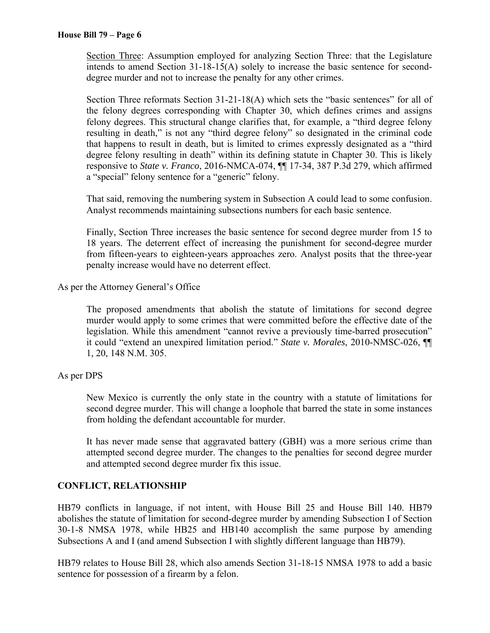Section Three: Assumption employed for analyzing Section Three: that the Legislature intends to amend Section 31-18-15(A) solely to increase the basic sentence for second degree murder and not to increase the penalty for any other crimes.

Section Three reformats Section 31-21-18(A) which sets the "basic sentences" for all of the felony degrees corresponding with Chapter 30, which defines crimes and assigns felony degrees. This structural change clarifies that, for example, a "third degree felony resulting in death," is not any "third degree felony" so designated in the criminal code that happens to result in death, but is limited to crimes expressly designated as a "third degree felony resulting in death" within its defining statute in Chapter 30. This is likely responsive to *State v. Franco*, 2016-NMCA-074, ¶¶ 17-34, 387 P.3d 279, which affirmed a "special" felony sentence for a "generic" felony.

That said, removing the numbering system in Subsection A could lead to some confusion. Analyst recommends maintaining subsections numbers for each basic sentence.

Finally, Section Three increases the basic sentence for second degree murder from 15 to 18 years. The deterrent effect of increasing the punishment for second-degree murder from fifteen-years to eighteen-years approaches zero. Analyst posits that the three-year penalty increase would have no deterrent effect.

As per the Attorney General's Office

The proposed amendments that abolish the statute of limitations for second degree murder would apply to some crimes that were committed before the effective date of the legislation. While this amendment "cannot revive a previously time-barred prosecution" it could "extend an unexpired limitation period." *State v. Morales*, 2010-NMSC-026, ¶¶ 1, 20, 148 N.M. 305.

## As per DPS

New Mexico is currently the only state in the country with a statute of limitations for second degree murder. This will change a loophole that barred the state in some instances from holding the defendant accountable for murder.

It has never made sense that aggravated battery (GBH) was a more serious crime than attempted second degree murder. The changes to the penalties for second degree murder and attempted second degree murder fix this issue.

## **CONFLICT, RELATIONSHIP**

HB79 conflicts in language, if not intent, with House Bill 25 and House Bill 140. HB79 abolishes the statute of limitation for second-degree murder by amending Subsection I of Section 30-1-8 NMSA 1978, while HB25 and HB140 accomplish the same purpose by amending Subsections A and I (and amend Subsection I with slightly different language than HB79).

HB79 relates to House Bill 28, which also amends Section 31-18-15 NMSA 1978 to add a basic sentence for possession of a firearm by a felon.